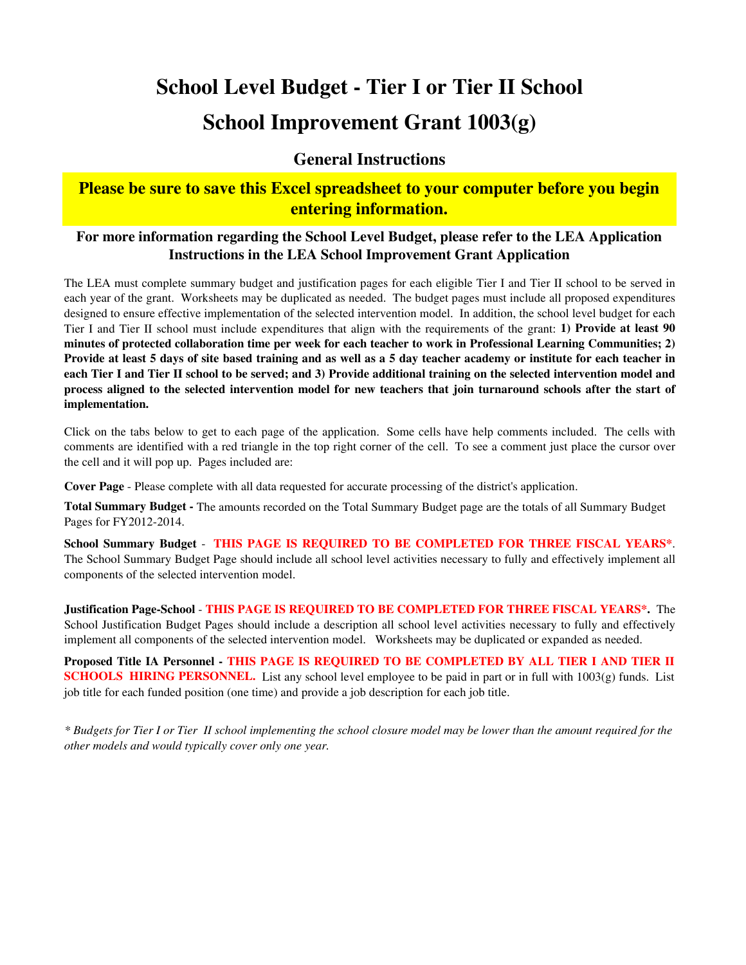# **School Level Budget - Tier I or Tier II School School Improvement Grant 1003(g)**

#### **General Instructions**

### **Please be sure to save this Excel spreadsheet to your computer before you begin entering information.**

#### **For more information regarding the School Level Budget, please refer to the LEA Application Instructions in the LEA School Improvement Grant Application**

The LEA must complete summary budget and justification pages for each eligible Tier I and Tier II school to be served in each year of the grant. Worksheets may be duplicated as needed. The budget pages must include all proposed expenditures designed to ensure effective implementation of the selected intervention model. In addition, the school level budget for each Tier I and Tier II school must include expenditures that align with the requirements of the grant: **1) Provide at least 90** minutes of protected collaboration time per week for each teacher to work in Professional Learning Communities; 2) Provide at least 5 days of site based training and as well as a 5 day teacher academy or institute for each teacher in each Tier I and Tier II school to be served; and 3) Provide additional training on the selected intervention model and process aligned to the selected intervention model for new teachers that join turnaround schools after the start of **implementation.**

Click on the tabs below to get to each page of the application. Some cells have help comments included. The cells with comments are identified with a red triangle in the top right corner of the cell. To see a comment just place the cursor over the cell and it will pop up. Pages included are:

**Cover Page** - Please complete with all data requested for accurate processing of the district's application.

**Total Summary Budget -** The amounts recorded on the Total Summary Budget page are the totals of all Summary Budget Pages for FY2012-2014.

**School Summary Budget** - **THIS PAGE IS REQUIRED TO BE COMPLETED FOR THREE FISCAL YEARS\***. The School Summary Budget Page should include all school level activities necessary to fully and effectively implement all components of the selected intervention model.

**Justification Page-School** - **THIS PAGE IS REQUIRED TO BE COMPLETED FOR THREE FISCAL YEARS\*.** The School Justification Budget Pages should include a description all school level activities necessary to fully and effectively implement all components of the selected intervention model. Worksheets may be duplicated or expanded as needed.

Proposed Title IA Personnel - THIS PAGE IS REQUIRED TO BE COMPLETED BY ALL TIER I AND TIER II **SCHOOLS HIRING PERSONNEL.** List any school level employee to be paid in part or in full with 1003(g) funds. List job title for each funded position (one time) and provide a job description for each job title.

*\* Budgets for Tier I or Tier II school implementing the school closure model may be lower than the amount required for the other models and would typically cover only one year.*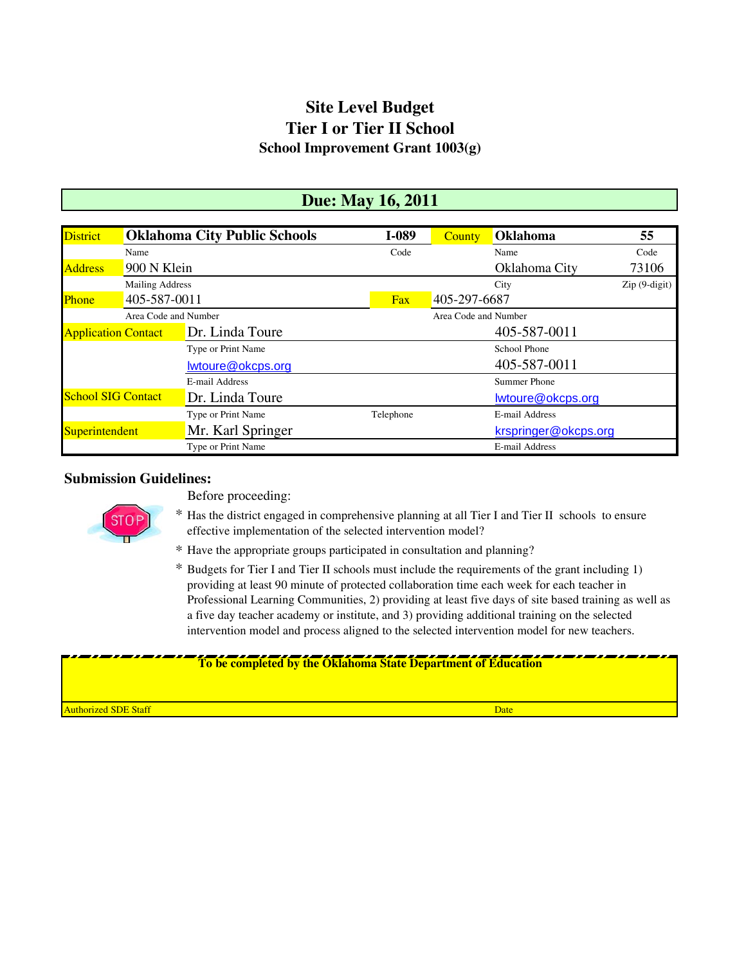### **Site Level Budget Tier I or Tier II School School Improvement Grant 1003(g)**

### **Due: May 16, 2011**

| <b>District</b>            |                        | <b>Oklahoma City Public Schools</b> | I-089     | <b>County</b>        | Oklahoma               | 55             |  |  |
|----------------------------|------------------------|-------------------------------------|-----------|----------------------|------------------------|----------------|--|--|
|                            | Name                   |                                     | Code      |                      | Name                   | Code           |  |  |
| <b>Address</b>             | 900 N Klein            |                                     |           |                      | 73106<br>Oklahoma City |                |  |  |
|                            | <b>Mailing Address</b> |                                     |           |                      | City                   | $Zip(9-digit)$ |  |  |
| <b>Phone</b>               |                        | 405-587-0011                        |           | 405-297-6687         |                        |                |  |  |
|                            | Area Code and Number   |                                     |           | Area Code and Number |                        |                |  |  |
| <b>Application Contact</b> |                        | Dr. Linda Toure                     |           |                      | 405-587-0011           |                |  |  |
|                            |                        | Type or Print Name                  |           |                      | School Phone           |                |  |  |
|                            |                        | lwtoure@okcps.org                   |           |                      | 405-587-0011           |                |  |  |
|                            |                        | E-mail Address                      |           |                      | Summer Phone           |                |  |  |
| <b>School SIG Contact</b>  |                        | Dr. Linda Toure                     |           |                      | lwtoure@okcps.org      |                |  |  |
|                            |                        | Type or Print Name                  | Telephone |                      | E-mail Address         |                |  |  |
| <b>Superintendent</b>      |                        | Mr. Karl Springer                   |           |                      | krspringer@okcps.org   |                |  |  |
|                            |                        | Type or Print Name                  |           |                      | E-mail Address         |                |  |  |

#### **Submission Guidelines:**



Before proceeding:

- \* Has the district engaged in comprehensive planning at all Tier I and Tier II schools to ensure effective implementation of the selected intervention model?
- \* Have the appropriate groups participated in consultation and planning?
- \* Budgets for Tier I and Tier II schools must include the requirements of the grant including 1) providing at least 90 minute of protected collaboration time each week for each teacher in Professional Learning Communities, 2) providing at least five days of site based training as well as a five day teacher academy or institute, and 3) providing additional training on the selected intervention model and process aligned to the selected intervention model for new teachers.

#### **To be completed by the Oklahoma State Department of Education**

**Authorized SDE Staff** Date Date Control of the Control of the Control of the Control of the Control of the Control of the Control of the Control of the Control of the Control of the Control of the Control of the Control o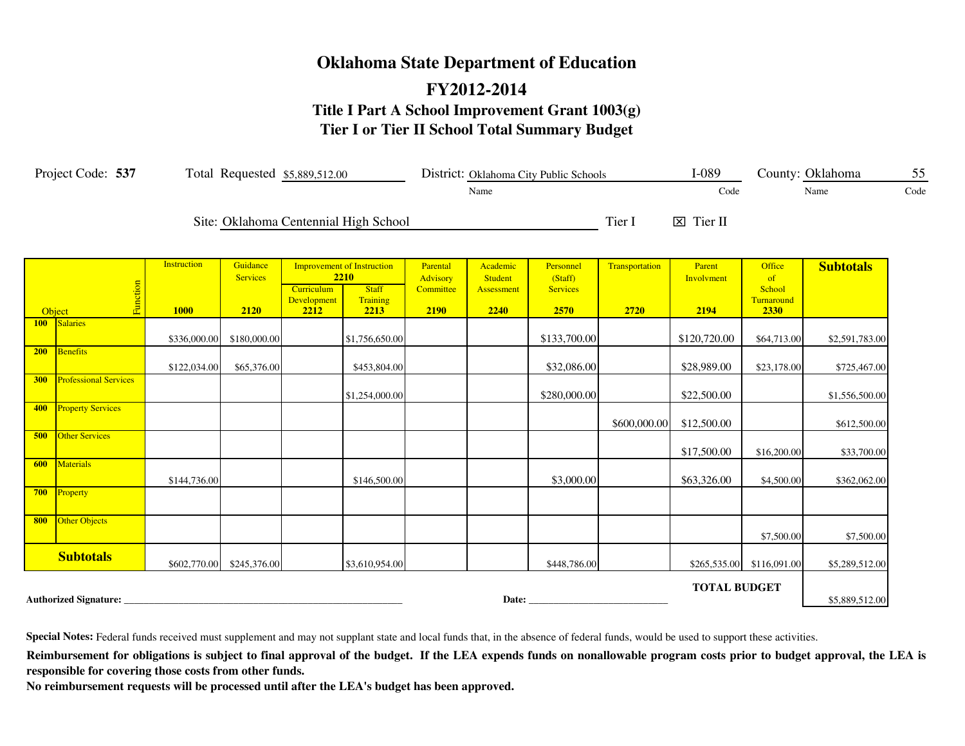# **Oklahoma State Department of Education FY2012-2014 Title I Part A School Improvement Grant 1003(g) Tier I or Tier II School Total Summary Budget**

| Project Code: 537<br>Total Requested \$5,889,512.00 |                              |                                   |                                     |                                   |                                                                               | District: Oklahoma City Public Schools    |                                           | $I-089$                                         |                        | County: Oklahoma             | 55                                           |                  |      |
|-----------------------------------------------------|------------------------------|-----------------------------------|-------------------------------------|-----------------------------------|-------------------------------------------------------------------------------|-------------------------------------------|-------------------------------------------|-------------------------------------------------|------------------------|------------------------------|----------------------------------------------|------------------|------|
|                                                     |                              |                                   |                                     |                                   |                                                                               |                                           | Name                                      |                                                 |                        | Code                         |                                              | Name             | Code |
|                                                     |                              |                                   |                                     |                                   | Site: Oklahoma Centennial High School                                         |                                           |                                           |                                                 | Tier I                 | $\boxtimes$ Tier II          |                                              |                  |      |
| Object                                              | Function                     | <b>Instruction</b><br><b>1000</b> | Guidance<br><b>Services</b><br>2120 | Curriculum<br>Development<br>2212 | <b>Improvement of Instruction</b><br>2210<br><b>Staff</b><br>Training<br>2213 | Parental<br>Advisory<br>Committee<br>2190 | Academic<br>Student<br>Assessment<br>2240 | Personnel<br>(Staff)<br><b>Services</b><br>2570 | Transportation<br>2720 | Parent<br>Involvment<br>2194 | Office<br>of<br>School<br>Turnaround<br>2330 | <b>Subtotals</b> |      |
| 100                                                 | <b>Salaries</b>              | \$336,000.00                      | \$180,000.00                        |                                   | \$1,756,650.00                                                                |                                           |                                           | \$133,700.00                                    |                        | \$120,720.00                 | \$64,713.00                                  | \$2,591,783.00   |      |
| 200                                                 | Benefits                     | \$122,034.00                      | \$65,376.00                         |                                   | \$453,804.00                                                                  |                                           |                                           | \$32,086.00                                     |                        | \$28,989.00                  | \$23,178.00                                  | \$725,467.00     |      |
| <b>300</b>                                          | <b>Professional Services</b> |                                   |                                     |                                   | \$1,254,000.00                                                                |                                           |                                           | \$280,000.00                                    |                        | \$22,500.00                  |                                              | \$1,556,500.00   |      |
| 400                                                 | <b>Property Services</b>     |                                   |                                     |                                   |                                                                               |                                           |                                           |                                                 | \$600,000.00           | \$12,500.00                  |                                              | \$612,500.00     |      |
| 500                                                 | <b>Other Services</b>        |                                   |                                     |                                   |                                                                               |                                           |                                           |                                                 |                        | \$17,500.00                  | \$16,200.00                                  | \$33,700.00      |      |
| 600                                                 | <b>Materials</b>             | \$144,736.00                      |                                     |                                   | \$146,500.00                                                                  |                                           |                                           | \$3,000.00                                      |                        | \$63,326.00                  | \$4,500.00                                   | \$362,062.00     |      |
|                                                     | 700 Property                 |                                   |                                     |                                   |                                                                               |                                           |                                           |                                                 |                        |                              |                                              |                  |      |
| 800                                                 | Other Objects                |                                   |                                     |                                   |                                                                               |                                           |                                           |                                                 |                        |                              | \$7,500.00                                   | \$7,500.00       |      |
|                                                     | <b>Subtotals</b>             |                                   | \$602,770.00 \$245,376.00           |                                   | \$3,610,954.00                                                                |                                           |                                           | \$448,786.00                                    |                        |                              | \$265,535.00 \$116,091.00                    | \$5,289,512.00   |      |
|                                                     | <b>Authorized Signature:</b> |                                   |                                     |                                   |                                                                               |                                           | Date:                                     |                                                 |                        | <b>TOTAL BUDGET</b>          |                                              | \$5,889,512.00   |      |

**Special Notes:** Federal funds received must supplement and may not supplant state and local funds that, in the absence of federal funds, would be used to support these activities.

Reimbursement for obligations is subject to final approval of the budget. If the LEA expends funds on nonallowable program costs prior to budget approval, the LEA is **responsible for covering those costs from other funds.**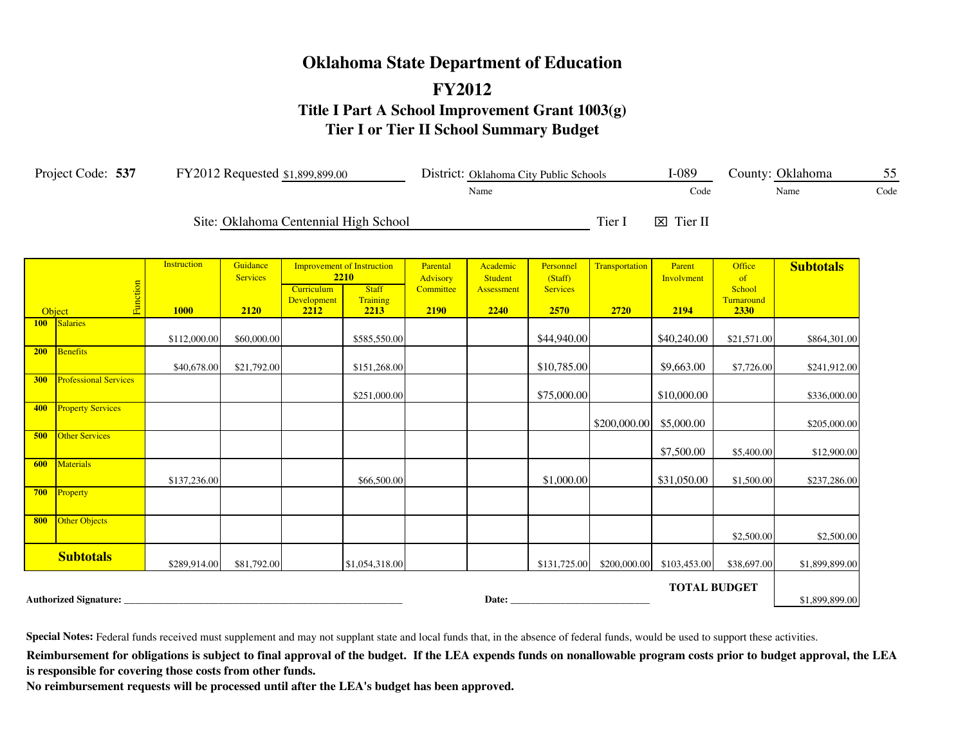# **FY2012 Oklahoma State Department of Education Title I Part A School Improvement Grant 1003(g) Tier I or Tier II School Summary Budget**

|            | Project Code: 537            |                                   | FY2012 Requested \$1,899,899.00     |                                   |                                                                               |                                           |                                                  | District: Oklahoma City Public Schools          |                        | $I-089$                      |                                              | County: Oklahoma | 55   |
|------------|------------------------------|-----------------------------------|-------------------------------------|-----------------------------------|-------------------------------------------------------------------------------|-------------------------------------------|--------------------------------------------------|-------------------------------------------------|------------------------|------------------------------|----------------------------------------------|------------------|------|
|            |                              |                                   |                                     |                                   |                                                                               |                                           | Name                                             |                                                 |                        | Code                         |                                              | Name             | Code |
|            |                              |                                   |                                     |                                   | Site: Oklahoma Centennial High School                                         |                                           |                                                  |                                                 | Tier I                 | $\boxtimes$ Tier II          |                                              |                  |      |
|            | Function<br>Object           | <b>Instruction</b><br><b>1000</b> | Guidance<br><b>Services</b><br>2120 | Curriculum<br>Development<br>2212 | <b>Improvement of Instruction</b><br>2210<br><b>Staff</b><br>Training<br>2213 | Parental<br>Advisory<br>Committee<br>2190 | Academic<br><b>Student</b><br>Assessment<br>2240 | Personnel<br>(Staff)<br><b>Services</b><br>2570 | Transportation<br>2720 | Parent<br>Involvment<br>2194 | Office<br>of<br>School<br>Turnaround<br>2330 | <b>Subtotals</b> |      |
| 100        | Salaries                     |                                   |                                     |                                   |                                                                               |                                           |                                                  |                                                 |                        |                              |                                              |                  |      |
|            |                              | \$112,000.00                      | \$60,000.00                         |                                   | \$585,550.00                                                                  |                                           |                                                  | \$44,940.00                                     |                        | \$40,240.00                  | \$21,571.00                                  | \$864,301.00     |      |
| 200        | <b>Benefits</b>              | \$40,678.00                       | \$21,792.00                         |                                   | \$151,268.00                                                                  |                                           |                                                  | \$10,785.00                                     |                        | \$9,663.00                   | \$7,726.00                                   | \$241,912.00     |      |
| <b>300</b> | <b>Professional Services</b> |                                   |                                     |                                   | \$251,000.00                                                                  |                                           |                                                  | \$75,000.00                                     |                        | \$10,000.00                  |                                              | \$336,000.00     |      |
| 400        | <b>Property Services</b>     |                                   |                                     |                                   |                                                                               |                                           |                                                  |                                                 | \$200,000.00           | \$5,000.00                   |                                              | \$205,000.00     |      |
| 500        | <b>Other Services</b>        |                                   |                                     |                                   |                                                                               |                                           |                                                  |                                                 |                        | \$7,500.00                   | \$5,400.00                                   | \$12,900.00      |      |
| 600        | <b>Materials</b>             | \$137,236.00                      |                                     |                                   | \$66,500.00                                                                   |                                           |                                                  | \$1,000.00                                      |                        | \$31,050.00                  | \$1,500.00                                   | \$237,286.00     |      |
| 700        | Property                     |                                   |                                     |                                   |                                                                               |                                           |                                                  |                                                 |                        |                              |                                              |                  |      |
| 800        | Other Objects                |                                   |                                     |                                   |                                                                               |                                           |                                                  |                                                 |                        |                              | \$2,500.00                                   | \$2,500.00       |      |
|            | <b>Subtotals</b>             | \$289,914.00                      | \$81,792.00                         |                                   | \$1,054,318.00                                                                |                                           |                                                  | \$131,725.00                                    | \$200,000.00           | \$103,453.00                 | \$38,697.00                                  | \$1,899,899.00   |      |
|            | <b>Authorized Signature:</b> |                                   |                                     |                                   |                                                                               |                                           | Date:                                            |                                                 |                        | <b>TOTAL BUDGET</b>          |                                              | \$1,899,899.00   |      |

**Special Notes:** Federal funds received must supplement and may not supplant state and local funds that, in the absence of federal funds, would be used to support these activities.

Reimbursement for obligations is subject to final approval of the budget. If the LEA expends funds on nonallowable program costs prior to budget approval, the LEA **is responsible for covering those costs from other funds.**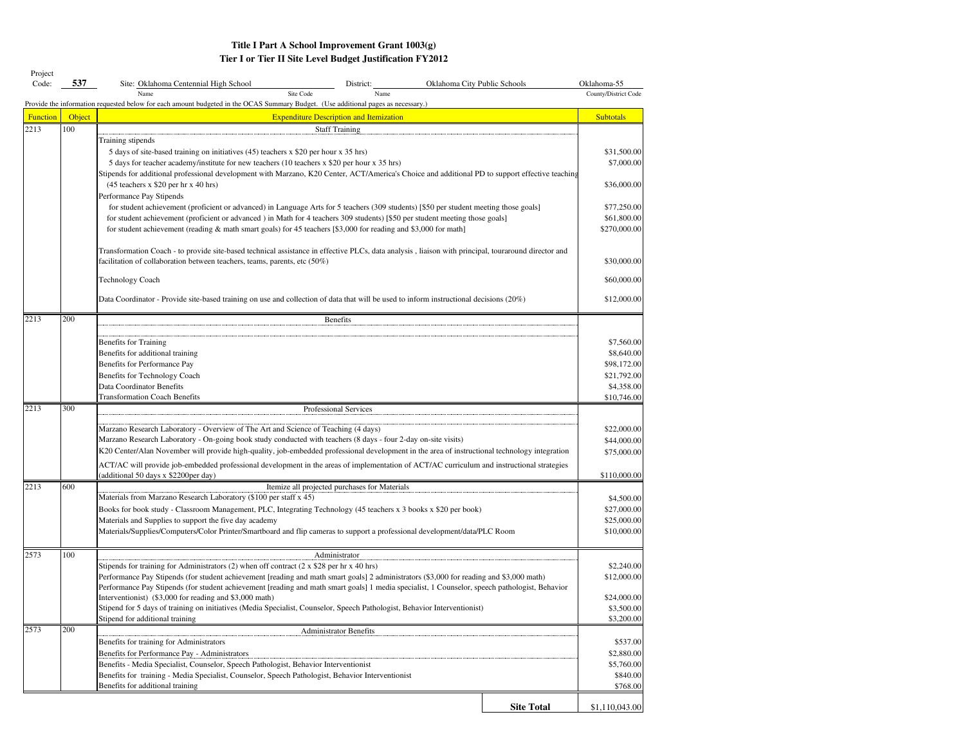#### **Tier I or Tier II Site Level Budget Justification FY2012 Title I Part A School Improvement Grant 1003(g)**

| Project<br>Code: | 537    | Oklahoma City Public Schools<br>Site: Oklahoma Centennial High School<br>District:                                                                                                        |                   | Oklahoma-55          |  |  |  |  |  |  |  |  |
|------------------|--------|-------------------------------------------------------------------------------------------------------------------------------------------------------------------------------------------|-------------------|----------------------|--|--|--|--|--|--|--|--|
|                  |        | Site Code<br>Name<br>Name                                                                                                                                                                 |                   | County/District Code |  |  |  |  |  |  |  |  |
|                  |        | Provide the information requested below for each amount budgeted in the OCAS Summary Budget. (Use additional pages as necessary.)                                                         |                   |                      |  |  |  |  |  |  |  |  |
| <b>Function</b>  | Object | <b>Expenditure Description and Itemization</b>                                                                                                                                            |                   | <b>Subtotals</b>     |  |  |  |  |  |  |  |  |
| 2213             | 100    | <b>Staff Training</b>                                                                                                                                                                     |                   |                      |  |  |  |  |  |  |  |  |
|                  |        | Training stipends                                                                                                                                                                         |                   |                      |  |  |  |  |  |  |  |  |
|                  |        | 5 days of site-based training on initiatives (45) teachers x \$20 per hour x 35 hrs)                                                                                                      |                   | \$31,500.00          |  |  |  |  |  |  |  |  |
|                  |        | 5 days for teacher academy/institute for new teachers (10 teachers x \$20 per hour x 35 hrs)                                                                                              |                   | \$7,000.00           |  |  |  |  |  |  |  |  |
|                  |        | Stipends for additional professional development with Marzano, K20 Center, ACT/America's Choice and additional PD to support effective teaching<br>$(45$ teachers x \$20 per hr x 40 hrs) |                   | \$36,000.00          |  |  |  |  |  |  |  |  |
|                  |        | Performance Pay Stipends                                                                                                                                                                  |                   |                      |  |  |  |  |  |  |  |  |
|                  |        | for student achievement (proficient or advanced) in Language Arts for 5 teachers (309 students) [\$50 per student meeting those goals]                                                    |                   | \$77,250.00          |  |  |  |  |  |  |  |  |
|                  |        | for student achievement (proficient or advanced) in Math for 4 teachers 309 students) [\$50 per student meeting those goals]                                                              |                   | \$61,800.00          |  |  |  |  |  |  |  |  |
|                  |        | for student achievement (reading & math smart goals) for 45 teachers [\$3,000 for reading and \$3,000 for math]                                                                           |                   | \$270,000.00         |  |  |  |  |  |  |  |  |
|                  |        |                                                                                                                                                                                           |                   |                      |  |  |  |  |  |  |  |  |
|                  |        | Transformation Coach - to provide site-based technical assistance in effective PLCs, data analysis, liaison with principal, touraround director and                                       |                   |                      |  |  |  |  |  |  |  |  |
|                  |        | facilitation of collaboration between teachers, teams, parents, etc (50%)                                                                                                                 |                   | \$30,000.00          |  |  |  |  |  |  |  |  |
|                  |        | Technology Coach                                                                                                                                                                          |                   | \$60,000.00          |  |  |  |  |  |  |  |  |
|                  |        |                                                                                                                                                                                           |                   |                      |  |  |  |  |  |  |  |  |
|                  |        | Data Coordinator - Provide site-based training on use and collection of data that will be used to inform instructional decisions (20%)                                                    |                   |                      |  |  |  |  |  |  |  |  |
| 2213             | 200    | Benefits                                                                                                                                                                                  |                   |                      |  |  |  |  |  |  |  |  |
|                  |        |                                                                                                                                                                                           |                   |                      |  |  |  |  |  |  |  |  |
|                  |        | Benefits for Training                                                                                                                                                                     |                   | \$7,560.00           |  |  |  |  |  |  |  |  |
|                  |        | Benefits for additional training                                                                                                                                                          |                   | \$8,640.00           |  |  |  |  |  |  |  |  |
|                  |        | Benefits for Performance Pay                                                                                                                                                              |                   | \$98,172.00          |  |  |  |  |  |  |  |  |
|                  |        | Benefits for Technology Coach                                                                                                                                                             |                   | \$21,792.00          |  |  |  |  |  |  |  |  |
|                  |        | Data Coordinator Benefits                                                                                                                                                                 |                   | \$4,358.00           |  |  |  |  |  |  |  |  |
| 2213             | 300    | <b>Transformation Coach Benefits</b><br>Professional Services                                                                                                                             |                   | \$10,746.00          |  |  |  |  |  |  |  |  |
|                  |        |                                                                                                                                                                                           |                   |                      |  |  |  |  |  |  |  |  |
|                  |        | Marzano Research Laboratory - Overview of The Art and Science of Teaching (4 days)                                                                                                        |                   | \$22,000.00          |  |  |  |  |  |  |  |  |
|                  |        | Marzano Research Laboratory - On-going book study conducted with teachers (8 days - four 2-day on-site visits)                                                                            |                   | \$44,000.00          |  |  |  |  |  |  |  |  |
|                  |        | K20 Center/Alan November will provide high-quality, job-embedded professional development in the area of instructional technology integration                                             |                   | \$75,000.00          |  |  |  |  |  |  |  |  |
|                  |        | ACT/AC will provide job-embedded professional development in the areas of implementation of ACT/AC curriculum and instructional strategies                                                |                   |                      |  |  |  |  |  |  |  |  |
|                  |        | (additional 50 days x \$2200per day)                                                                                                                                                      |                   | \$110,000.00         |  |  |  |  |  |  |  |  |
| 2213             | 600    | Itemize all projected purchases for Materials                                                                                                                                             |                   |                      |  |  |  |  |  |  |  |  |
|                  |        | Materials from Marzano Research Laboratory (\$100 per staff x 45)                                                                                                                         |                   | \$4,500.00           |  |  |  |  |  |  |  |  |
|                  |        | Books for book study - Classroom Management, PLC, Integrating Technology (45 teachers x 3 books x \$20 per book)                                                                          |                   | \$27,000.00          |  |  |  |  |  |  |  |  |
|                  |        | Materials and Supplies to support the five day academy                                                                                                                                    |                   | \$25,000.00          |  |  |  |  |  |  |  |  |
|                  |        | Materials/Supplies/Computers/Color Printer/Smartboard and flip cameras to support a professional development/data/PLC Room                                                                |                   | \$10,000.00          |  |  |  |  |  |  |  |  |
| 2573             | 100    | Administrator                                                                                                                                                                             |                   |                      |  |  |  |  |  |  |  |  |
|                  |        | Stipends for training for Administrators (2) when off contract (2 x \$28 per hr x 40 hrs)                                                                                                 |                   | \$2,240.00           |  |  |  |  |  |  |  |  |
|                  |        | Performance Pay Stipends (for student achievement [reading and math smart goals] 2 administrators (\$3,000 for reading and \$3,000 math)                                                  |                   | \$12,000.00          |  |  |  |  |  |  |  |  |
|                  |        | Performance Pay Stipends (for student achievement [reading and math smart goals] 1 media specialist, 1 Counselor, speech pathologist, Behavior                                            |                   |                      |  |  |  |  |  |  |  |  |
|                  |        | Interventionist) (\$3,000 for reading and \$3,000 math)                                                                                                                                   |                   | \$24,000.00          |  |  |  |  |  |  |  |  |
|                  |        | Stipend for 5 days of training on initiatives (Media Specialist, Counselor, Speech Pathologist, Behavior Interventionist)                                                                 |                   | \$3,500.00           |  |  |  |  |  |  |  |  |
| 2573             | 200    | Stipend for additional training                                                                                                                                                           |                   | \$3,200.00           |  |  |  |  |  |  |  |  |
|                  |        | <b>Administrator Benefits</b><br>Benefits for training for Administrators                                                                                                                 |                   | \$537.00             |  |  |  |  |  |  |  |  |
|                  |        | Benefits for Performance Pay - Administrators                                                                                                                                             |                   | \$2,880.00           |  |  |  |  |  |  |  |  |
|                  |        | Benefits - Media Specialist, Counselor, Speech Pathologist, Behavior Interventionist                                                                                                      |                   | \$5,760.00           |  |  |  |  |  |  |  |  |
|                  |        | Benefits for training - Media Specialist, Counselor, Speech Pathologist, Behavior Interventionist                                                                                         |                   | \$840.00             |  |  |  |  |  |  |  |  |
|                  |        | Benefits for additional training                                                                                                                                                          |                   | \$768.00             |  |  |  |  |  |  |  |  |
|                  |        |                                                                                                                                                                                           |                   |                      |  |  |  |  |  |  |  |  |
|                  |        |                                                                                                                                                                                           | <b>Site Total</b> | \$1,110,043.00       |  |  |  |  |  |  |  |  |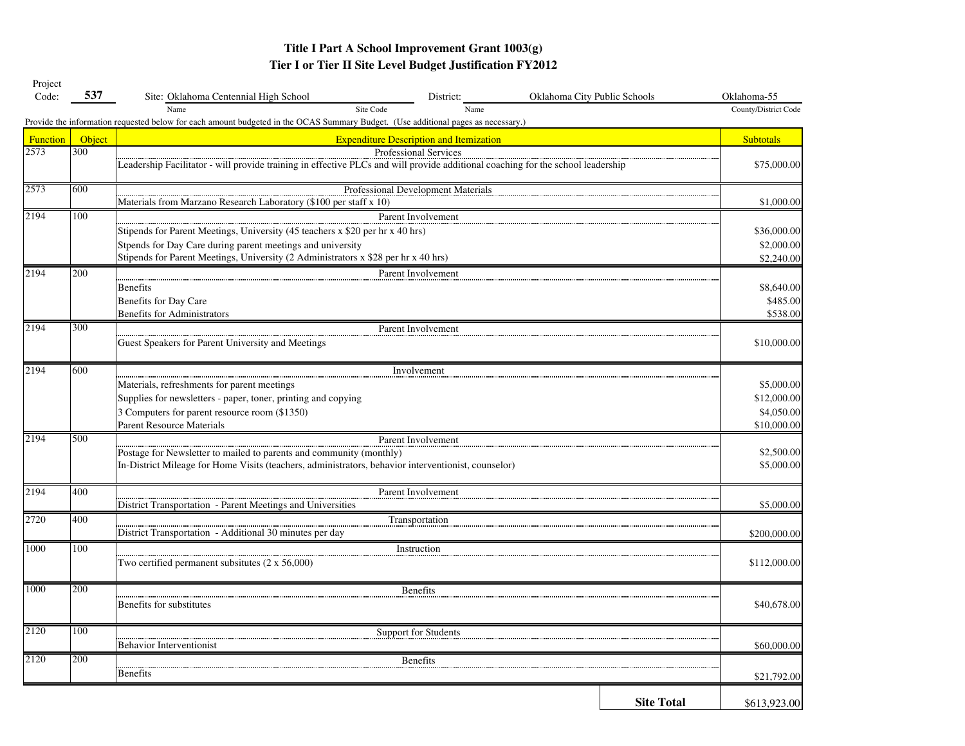| Project         |        |                                                                                                                                           |                                                |                              |                   |                      |
|-----------------|--------|-------------------------------------------------------------------------------------------------------------------------------------------|------------------------------------------------|------------------------------|-------------------|----------------------|
| Code:           | 537    | Site: Oklahoma Centennial High School                                                                                                     | District:                                      | Oklahoma City Public Schools |                   | Oklahoma-55          |
|                 |        | Name<br>Provide the information requested below for each amount budgeted in the OCAS Summary Budget. (Use additional pages as necessary.) | Site Code<br>Name                              |                              |                   | County/District Code |
| <b>Function</b> | Object |                                                                                                                                           | <b>Expenditure Description and Itemization</b> |                              |                   | <b>Subtotals</b>     |
| 2573            | 300    |                                                                                                                                           | Professional Services                          |                              |                   |                      |
|                 |        | Leadership Facilitator - will provide training in effective PLCs and will provide additional coaching for the school leadership           |                                                |                              |                   | \$75,000.00          |
| 2573            | 600    |                                                                                                                                           | Professional Development Materials             |                              |                   |                      |
|                 |        | Materials from Marzano Research Laboratory (\$100 per staff x 10)                                                                         |                                                |                              |                   | \$1,000.00           |
| 2194            | 100    |                                                                                                                                           | Parent Involvement                             |                              |                   |                      |
|                 |        | Stipends for Parent Meetings, University (45 teachers x \$20 per hr x 40 hrs)                                                             |                                                |                              |                   | \$36,000.00          |
|                 |        | Stpends for Day Care during parent meetings and university                                                                                |                                                |                              |                   | \$2,000.00           |
|                 |        | Stipends for Parent Meetings, University (2 Administrators x \$28 per hr x 40 hrs)                                                        |                                                |                              |                   | \$2,240.00           |
| 2194            | 200    |                                                                                                                                           | Parent Involvement                             |                              |                   |                      |
|                 |        | <b>Benefits</b>                                                                                                                           |                                                |                              |                   | \$8,640.00           |
|                 |        | Benefits for Day Care                                                                                                                     |                                                |                              |                   | \$485.00             |
|                 |        | <b>Benefits for Administrators</b>                                                                                                        |                                                |                              |                   | \$538.00             |
| 2194            | 300    |                                                                                                                                           | Parent Involvement                             |                              |                   |                      |
|                 |        | Guest Speakers for Parent University and Meetings                                                                                         |                                                |                              |                   | \$10,000.00          |
| 2194            | 600    |                                                                                                                                           | Involvement                                    |                              |                   |                      |
|                 |        | Materials, refreshments for parent meetings                                                                                               |                                                |                              |                   | \$5,000.00           |
|                 |        | Supplies for newsletters - paper, toner, printing and copying                                                                             |                                                |                              |                   | \$12,000.00          |
|                 |        | 3 Computers for parent resource room (\$1350)                                                                                             |                                                |                              |                   | \$4,050.00           |
|                 |        | Parent Resource Materials                                                                                                                 |                                                |                              |                   | \$10,000.00          |
| 2194            | 500    |                                                                                                                                           | Parent Involvement                             |                              |                   |                      |
|                 |        | Postage for Newsletter to mailed to parents and community (monthly)                                                                       |                                                |                              |                   | \$2,500.00           |
|                 |        | In-District Mileage for Home Visits (teachers, administrators, behavior interventionist, counselor)                                       |                                                |                              |                   | \$5,000.00           |
| 2194            | 400    |                                                                                                                                           | Parent Involvement                             |                              |                   |                      |
|                 |        | District Transportation - Parent Meetings and Universities                                                                                |                                                |                              |                   | \$5,000.00           |
| 2720            | 400    |                                                                                                                                           | Transportation                                 |                              |                   |                      |
|                 |        | District Transportation - Additional 30 minutes per day                                                                                   |                                                |                              |                   | \$200,000.00         |
| 1000            | 100    |                                                                                                                                           | Instruction                                    |                              |                   |                      |
|                 |        | Two certified permanent subsitutes $(2 \times 56,000)$                                                                                    |                                                |                              |                   | \$112,000.00         |
| 1000            | 200    |                                                                                                                                           | <b>Benefits</b>                                |                              |                   |                      |
|                 |        | Benefits for substitutes                                                                                                                  |                                                |                              |                   | \$40,678.00          |
|                 |        |                                                                                                                                           |                                                |                              |                   |                      |
| 2120            | 100    |                                                                                                                                           | Support for Students                           |                              |                   |                      |
|                 |        | <b>Behavior Interventionist</b>                                                                                                           |                                                |                              |                   | \$60,000.00          |
| 2120            | 200    |                                                                                                                                           | <b>Benefits</b>                                |                              |                   |                      |
|                 |        | <b>Benefits</b>                                                                                                                           |                                                |                              |                   | \$21,792.00          |
|                 |        |                                                                                                                                           |                                                |                              | <b>Site Total</b> | \$613,923.00         |
|                 |        |                                                                                                                                           |                                                |                              |                   |                      |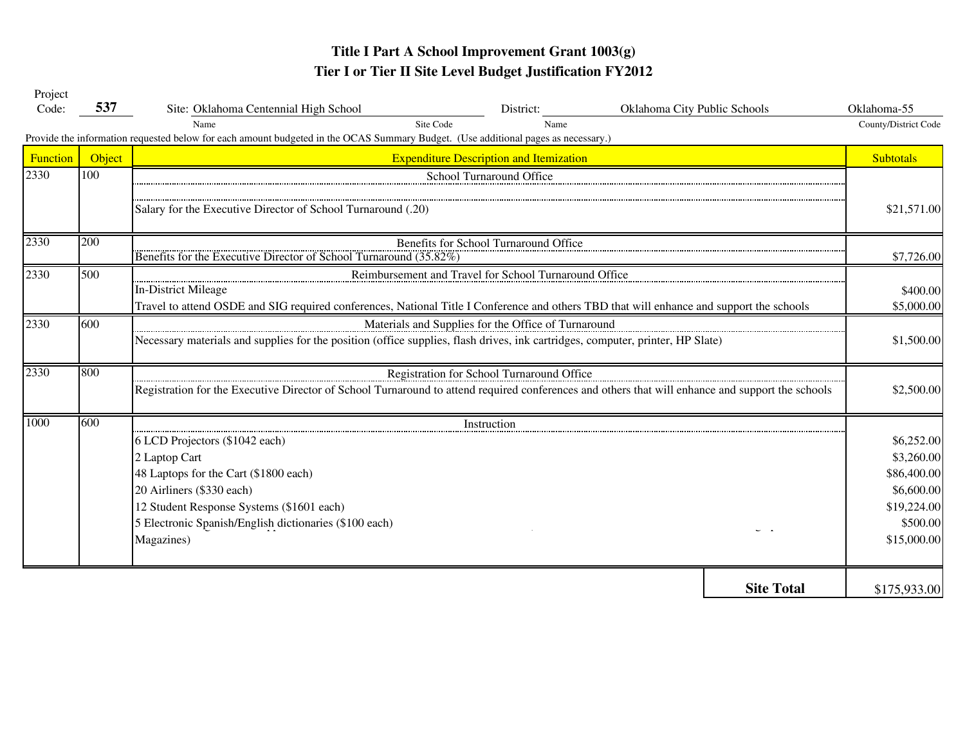| Project         |        |                                                                                                                                                  |                                                     |                              |                   |                      |  |  |  |  |
|-----------------|--------|--------------------------------------------------------------------------------------------------------------------------------------------------|-----------------------------------------------------|------------------------------|-------------------|----------------------|--|--|--|--|
| Code:           | 537    | Site: Oklahoma Centennial High School                                                                                                            | District:                                           | Oklahoma City Public Schools |                   | Oklahoma-55          |  |  |  |  |
|                 |        | Site Code<br>Name                                                                                                                                | Name                                                |                              |                   | County/District Code |  |  |  |  |
|                 |        | Provide the information requested below for each amount budgeted in the OCAS Summary Budget. (Use additional pages as necessary.)                |                                                     |                              |                   |                      |  |  |  |  |
| <b>Function</b> | Object |                                                                                                                                                  | <b>Expenditure Description and Itemization</b>      |                              |                   | <b>Subtotals</b>     |  |  |  |  |
| 2330            | 100    |                                                                                                                                                  | School Turnaround Office                            |                              |                   |                      |  |  |  |  |
|                 |        |                                                                                                                                                  |                                                     |                              |                   |                      |  |  |  |  |
|                 |        | Salary for the Executive Director of School Turnaround (.20)                                                                                     |                                                     |                              |                   | \$21,571.00          |  |  |  |  |
| 2330            | 200    |                                                                                                                                                  | Benefits for School Turnaround Office               |                              |                   |                      |  |  |  |  |
|                 |        | Benefits for the Executive Director of School Turnaround (35.82%)                                                                                |                                                     |                              |                   | \$7,726.00           |  |  |  |  |
| 2330            | 500    | Reimbursement and Travel for School Turnaround Office                                                                                            |                                                     |                              |                   |                      |  |  |  |  |
|                 |        | In-District Mileage                                                                                                                              |                                                     |                              |                   | \$400.00             |  |  |  |  |
|                 |        | Travel to attend OSDE and SIG required conferences, National Title I Conference and others TBD that will enhance and support the schools         |                                                     |                              |                   | \$5,000.00           |  |  |  |  |
| 2330            | 600    |                                                                                                                                                  | Materials and Supplies for the Office of Turnaround |                              |                   |                      |  |  |  |  |
|                 |        | Necessary materials and supplies for the position (office supplies, flash drives, ink cartridges, computer, printer, HP Slate)                   |                                                     |                              |                   | \$1,500.00           |  |  |  |  |
| 2330            | 800    | Registration for School Turnaround Office                                                                                                        |                                                     |                              |                   |                      |  |  |  |  |
|                 |        | Registration for the Executive Director of School Turnaround to attend required conferences and others that will enhance and support the schools | \$2,500.00                                          |                              |                   |                      |  |  |  |  |
| 1000            | 600    |                                                                                                                                                  | Instruction                                         |                              |                   |                      |  |  |  |  |
|                 |        | 6 LCD Projectors (\$1042 each)                                                                                                                   |                                                     |                              |                   | \$6,252.00           |  |  |  |  |
|                 |        | 2 Laptop Cart                                                                                                                                    |                                                     |                              |                   | \$3,260.00           |  |  |  |  |
|                 |        | 48 Laptops for the Cart (\$1800 each)                                                                                                            |                                                     |                              |                   | \$86,400.00          |  |  |  |  |
|                 |        | 20 Airliners (\$330 each)                                                                                                                        |                                                     |                              |                   | \$6,600.00           |  |  |  |  |
|                 |        | 12 Student Response Systems (\$1601 each)                                                                                                        |                                                     |                              |                   | \$19,224.00          |  |  |  |  |
|                 |        | 5 Electronic Spanish/English dictionaries (\$100 each)                                                                                           |                                                     |                              |                   | \$500.00             |  |  |  |  |
|                 |        | Magazines)                                                                                                                                       |                                                     |                              |                   | \$15,000.00          |  |  |  |  |
|                 |        |                                                                                                                                                  |                                                     |                              | <b>Site Total</b> | \$175,933.00         |  |  |  |  |
|                 |        |                                                                                                                                                  |                                                     |                              |                   |                      |  |  |  |  |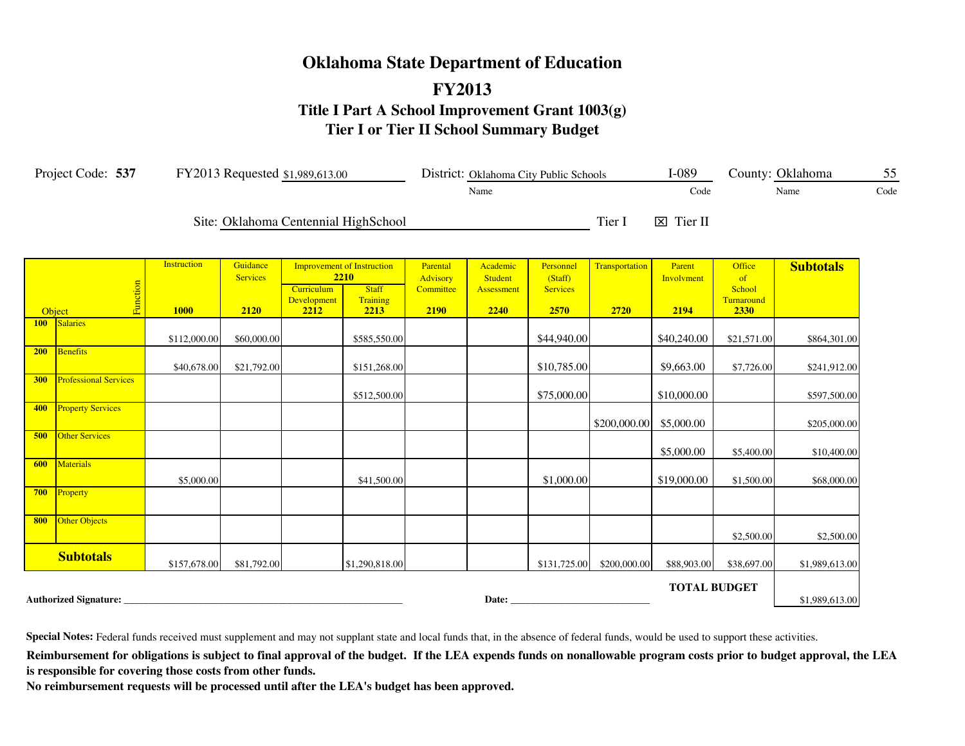# **Oklahoma State Department of Education FY2013 Title I Part A School Improvement Grant 1003(g) Tier I or Tier II School Summary Budget**

|            | Project Code: 537            |                                   | FY2013 Requested \$1,989,613.00     |                                   |                                                                               |                                           |                                                  | District: Oklahoma City Public Schools          |                        | $I-089$                      |                                                     | County: Oklahoma | 55   |
|------------|------------------------------|-----------------------------------|-------------------------------------|-----------------------------------|-------------------------------------------------------------------------------|-------------------------------------------|--------------------------------------------------|-------------------------------------------------|------------------------|------------------------------|-----------------------------------------------------|------------------|------|
|            |                              |                                   |                                     |                                   |                                                                               |                                           | Name                                             |                                                 |                        | Code                         |                                                     | Name             | Code |
|            |                              |                                   |                                     |                                   | Site: Oklahoma Centennial HighSchool                                          |                                           |                                                  |                                                 | Tier I                 | $\boxtimes$ Tier II          |                                                     |                  |      |
| Object     | Function                     | <b>Instruction</b><br><b>1000</b> | Guidance<br><b>Services</b><br>2120 | Curriculum<br>Development<br>2212 | <b>Improvement of Instruction</b><br>2210<br><b>Staff</b><br>Training<br>2213 | Parental<br>Advisory<br>Committee<br>2190 | Academic<br><b>Student</b><br>Assessment<br>2240 | Personnel<br>(Staff)<br><b>Services</b><br>2570 | Transportation<br>2720 | Parent<br>Involvment<br>2194 | <b>Office</b><br>of<br>School<br>Turnaround<br>2330 | <b>Subtotals</b> |      |
| 100        | Salaries                     |                                   |                                     |                                   |                                                                               |                                           |                                                  |                                                 |                        |                              |                                                     |                  |      |
|            |                              | \$112,000.00                      | \$60,000.00                         |                                   | \$585,550.00                                                                  |                                           |                                                  | \$44,940.00                                     |                        | \$40,240.00                  | \$21,571.00                                         | \$864,301.00     |      |
| 200        | <b>Benefits</b>              | \$40,678.00                       | \$21,792.00                         |                                   | \$151,268.00                                                                  |                                           |                                                  | \$10,785.00                                     |                        | \$9,663.00                   | \$7,726.00                                          | \$241,912.00     |      |
| <b>300</b> | <b>Professional Services</b> |                                   |                                     |                                   | \$512,500.00                                                                  |                                           |                                                  | \$75,000.00                                     |                        | \$10,000.00                  |                                                     | \$597,500.00     |      |
| 400        | <b>Property Services</b>     |                                   |                                     |                                   |                                                                               |                                           |                                                  |                                                 | \$200,000.00           | \$5,000.00                   |                                                     | \$205,000.00     |      |
| 500        | <b>Other Services</b>        |                                   |                                     |                                   |                                                                               |                                           |                                                  |                                                 |                        | \$5,000.00                   | \$5,400.00                                          | \$10,400.00      |      |
| 600        | <b>Materials</b>             | \$5,000.00                        |                                     |                                   | \$41,500.00                                                                   |                                           |                                                  | \$1,000.00                                      |                        | \$19,000.00                  | \$1,500.00                                          | \$68,000.00      |      |
| 700        | Property                     |                                   |                                     |                                   |                                                                               |                                           |                                                  |                                                 |                        |                              |                                                     |                  |      |
| 800        | Other Objects                |                                   |                                     |                                   |                                                                               |                                           |                                                  |                                                 |                        |                              | \$2,500.00                                          | \$2,500.00       |      |
|            | <b>Subtotals</b>             | \$157,678.00                      | \$81,792.00                         |                                   | \$1,290,818.00                                                                |                                           |                                                  | \$131,725.00                                    | \$200,000.00           | \$88,903.00                  | \$38,697.00                                         | \$1,989,613.00   |      |
|            | <b>Authorized Signature:</b> |                                   |                                     |                                   |                                                                               |                                           | Date:                                            |                                                 |                        | <b>TOTAL BUDGET</b>          |                                                     | \$1,989,613.00   |      |

**Special Notes:** Federal funds received must supplement and may not supplant state and local funds that, in the absence of federal funds, would be used to support these activities.

Reimbursement for obligations is subject to final approval of the budget. If the LEA expends funds on nonallowable program costs prior to budget approval, the LEA **is responsible for covering those costs from other funds.**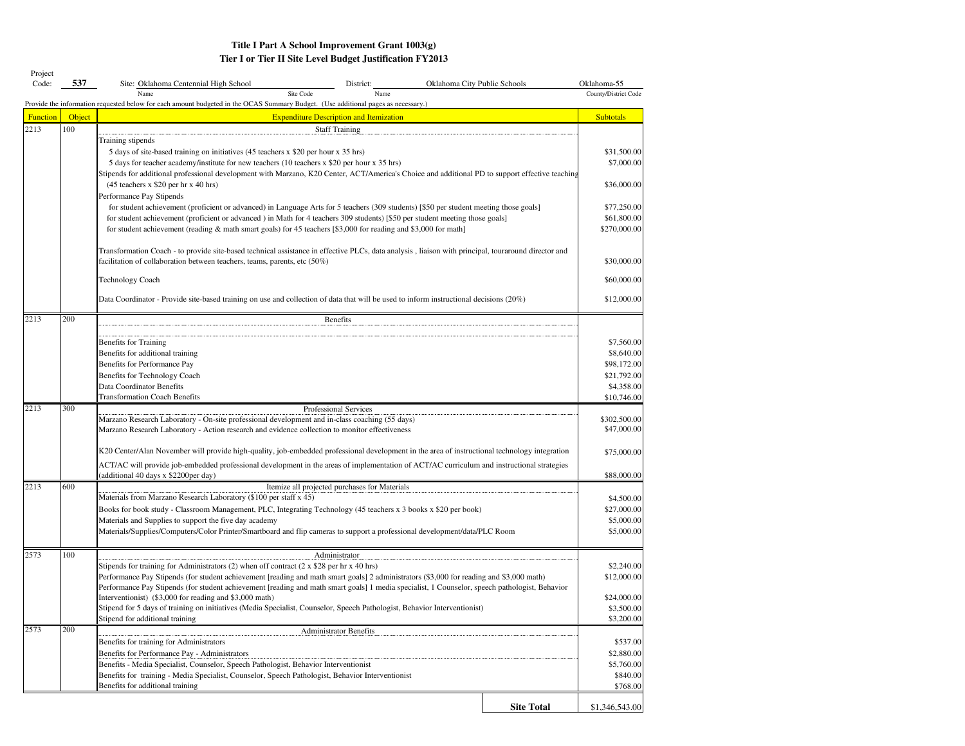| Project<br>Code: | 537    |                                                                                                                                                                                                                                                                                            | Oklahoma City Public Schools | Oklahoma-55               |
|------------------|--------|--------------------------------------------------------------------------------------------------------------------------------------------------------------------------------------------------------------------------------------------------------------------------------------------|------------------------------|---------------------------|
|                  |        | Site: Oklahoma Centennial High School<br>District:<br>Site Code<br>Name<br>Name                                                                                                                                                                                                            |                              | County/District Code      |
|                  |        | Provide the information requested below for each amount budgeted in the OCAS Summary Budget. (Use additional pages as necessary.)                                                                                                                                                          |                              |                           |
| <b>Function</b>  | Object | <b>Expenditure Description and Itemization</b>                                                                                                                                                                                                                                             |                              | <b>Subtotals</b>          |
| 2213             | 100    | <b>Staff Training</b>                                                                                                                                                                                                                                                                      |                              |                           |
|                  |        | Training stipends                                                                                                                                                                                                                                                                          |                              |                           |
|                  |        | 5 days of site-based training on initiatives (45 teachers x \$20 per hour x 35 hrs)                                                                                                                                                                                                        |                              | \$31,500.00               |
|                  |        | 5 days for teacher academy/institute for new teachers (10 teachers x \$20 per hour x 35 hrs)                                                                                                                                                                                               |                              | \$7,000.00                |
|                  |        | Stipends for additional professional development with Marzano, K20 Center, ACT/America's Choice and additional PD to support effective teaching<br>(45 teachers x \$20 per hr x 40 hrs)                                                                                                    |                              | \$36,000.00               |
|                  |        | Performance Pay Stipends                                                                                                                                                                                                                                                                   |                              |                           |
|                  |        | for student achievement (proficient or advanced) in Language Arts for 5 teachers (309 students) [\$50 per student meeting those goals]                                                                                                                                                     |                              | \$77,250.00               |
|                  |        | for student achievement (proficient or advanced) in Math for 4 teachers 309 students) [\$50 per student meeting those goals]                                                                                                                                                               |                              | \$61,800.00               |
|                  |        | for student achievement (reading & math smart goals) for 45 teachers [\$3,000 for reading and \$3,000 for math]                                                                                                                                                                            |                              | \$270,000.00              |
|                  |        |                                                                                                                                                                                                                                                                                            |                              |                           |
|                  |        | Transformation Coach - to provide site-based technical assistance in effective PLCs, data analysis, liaison with principal, touraround director and                                                                                                                                        |                              |                           |
|                  |        | facilitation of collaboration between teachers, teams, parents, etc $(50\%)$                                                                                                                                                                                                               |                              | \$30,000.00               |
|                  |        | Technology Coach                                                                                                                                                                                                                                                                           |                              | \$60,000.00               |
|                  |        |                                                                                                                                                                                                                                                                                            |                              | \$12,000.00               |
|                  |        | Data Coordinator - Provide site-based training on use and collection of data that will be used to inform instructional decisions (20%)                                                                                                                                                     |                              |                           |
| 2213             | 200    | Benefits                                                                                                                                                                                                                                                                                   |                              |                           |
|                  |        |                                                                                                                                                                                                                                                                                            |                              |                           |
|                  |        | Benefits for Training                                                                                                                                                                                                                                                                      |                              | \$7,560.00                |
|                  |        | Benefits for additional training                                                                                                                                                                                                                                                           |                              | \$8,640.00                |
|                  |        | Benefits for Performance Pay                                                                                                                                                                                                                                                               |                              | \$98,172.00               |
|                  |        | Benefits for Technology Coach                                                                                                                                                                                                                                                              |                              | \$21,792.00               |
|                  |        | Data Coordinator Benefits<br><b>Transformation Coach Benefits</b>                                                                                                                                                                                                                          |                              | \$4,358.00<br>\$10,746.00 |
| 2213             | 300    | Professional Services                                                                                                                                                                                                                                                                      |                              |                           |
|                  |        | Marzano Research Laboratory - On-site professional development and in-class coaching (55 days)                                                                                                                                                                                             |                              | \$302,500.00              |
|                  |        | Marzano Research Laboratory - Action research and evidence collection to monitor effectiveness                                                                                                                                                                                             |                              | \$47,000.00               |
|                  |        |                                                                                                                                                                                                                                                                                            |                              |                           |
|                  |        | K20 Center/Alan November will provide high-quality, job-embedded professional development in the area of instructional technology integration                                                                                                                                              |                              | \$75,000.00               |
|                  |        | ACT/AC will provide job-embedded professional development in the areas of implementation of ACT/AC curriculum and instructional strategies<br>(additional 40 days x \$2200per day)                                                                                                         |                              | \$88,000.00               |
| 2213             | 600    | Itemize all projected purchases for Materials                                                                                                                                                                                                                                              |                              |                           |
|                  |        | Materials from Marzano Research Laboratory (\$100 per staff x 45)                                                                                                                                                                                                                          |                              | \$4,500.00                |
|                  |        | Books for book study - Classroom Management, PLC, Integrating Technology (45 teachers x 3 books x \$20 per book)                                                                                                                                                                           |                              | \$27,000.00               |
|                  |        | Materials and Supplies to support the five day academy                                                                                                                                                                                                                                     |                              | \$5,000.00                |
|                  |        | Materials/Supplies/Computers/Color Printer/Smartboard and flip cameras to support a professional development/data/PLC Room                                                                                                                                                                 |                              | \$5,000.00                |
|                  |        |                                                                                                                                                                                                                                                                                            |                              |                           |
| 2573             | 100    | Administrator                                                                                                                                                                                                                                                                              |                              |                           |
|                  |        | Stipends for training for Administrators (2) when off contract ( $2 \times $28$ per hr x 40 hrs)                                                                                                                                                                                           |                              | \$2,240.00                |
|                  |        | Performance Pay Stipends (for student achievement [reading and math smart goals] 2 administrators (\$3,000 for reading and \$3,000 math)<br>Performance Pay Stipends (for student achievement [reading and math smart goals] 1 media specialist, 1 Counselor, speech pathologist, Behavior |                              | \$12,000.00               |
|                  |        | Interventionist) (\$3,000 for reading and \$3,000 math)                                                                                                                                                                                                                                    |                              | \$24,000.00               |
|                  |        | Stipend for 5 days of training on initiatives (Media Specialist, Counselor, Speech Pathologist, Behavior Interventionist)                                                                                                                                                                  |                              | \$3,500.00                |
|                  |        | Stipend for additional training                                                                                                                                                                                                                                                            |                              | \$3,200.00                |
| 2573             | 200    | Administrator Benefits                                                                                                                                                                                                                                                                     |                              |                           |
|                  |        | Benefits for training for Administrators                                                                                                                                                                                                                                                   |                              | \$537.00                  |
|                  |        | Benefits for Performance Pay - Administrators                                                                                                                                                                                                                                              |                              | \$2,880.00                |
|                  |        | Benefits - Media Specialist, Counselor, Speech Pathologist, Behavior Interventionist                                                                                                                                                                                                       |                              | \$5,760.00                |
|                  |        | Benefits for training - Media Specialist, Counselor, Speech Pathologist, Behavior Interventionist<br>Benefits for additional training                                                                                                                                                      |                              | \$840.00<br>\$768.00      |
|                  |        |                                                                                                                                                                                                                                                                                            |                              |                           |
|                  |        |                                                                                                                                                                                                                                                                                            | <b>Site Total</b>            | \$1,346,543.00            |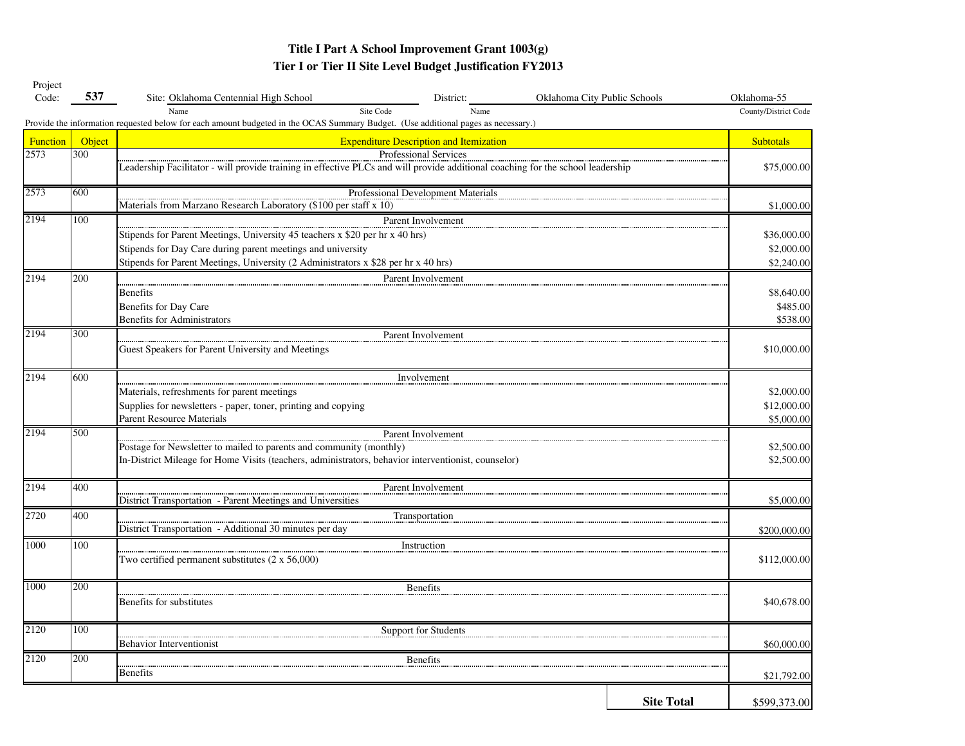| Project<br>Code: | 537           | Site: Oklahoma Centennial High School                                                                                                                  | District:                                      | Oklahoma City Public Schools |                   | Oklahoma-55          |  |  |  |  |  |
|------------------|---------------|--------------------------------------------------------------------------------------------------------------------------------------------------------|------------------------------------------------|------------------------------|-------------------|----------------------|--|--|--|--|--|
|                  |               | Site Code<br>Name<br>Provide the information requested below for each amount budgeted in the OCAS Summary Budget. (Use additional pages as necessary.) | Name                                           |                              |                   | County/District Code |  |  |  |  |  |
| <b>Function</b>  | <b>Object</b> |                                                                                                                                                        | <b>Expenditure Description and Itemization</b> |                              |                   | <b>Subtotals</b>     |  |  |  |  |  |
| 2573             | 300           |                                                                                                                                                        | Professional Services                          |                              |                   |                      |  |  |  |  |  |
|                  |               | Leadership Facilitator - will provide training in effective PLCs and will provide additional coaching for the school leadership                        |                                                |                              |                   | \$75,000.00          |  |  |  |  |  |
| 2573             | 600           |                                                                                                                                                        | Professional Development Materials             |                              |                   |                      |  |  |  |  |  |
|                  |               | Materials from Marzano Research Laboratory (\$100 per staff x 10)                                                                                      |                                                |                              |                   | \$1,000.00           |  |  |  |  |  |
| 2194             | 100           |                                                                                                                                                        | Parent Involvement                             |                              |                   |                      |  |  |  |  |  |
|                  |               | Stipends for Parent Meetings, University 45 teachers x \$20 per hr x 40 hrs)                                                                           |                                                |                              |                   | \$36,000.00          |  |  |  |  |  |
|                  |               | Stipends for Day Care during parent meetings and university                                                                                            |                                                |                              |                   | \$2,000.00           |  |  |  |  |  |
|                  |               | Stipends for Parent Meetings, University (2 Administrators x \$28 per hr x 40 hrs)                                                                     |                                                |                              |                   | \$2,240.00           |  |  |  |  |  |
| 2194             | 200           |                                                                                                                                                        | Parent Involvement                             |                              |                   |                      |  |  |  |  |  |
|                  |               | <b>Benefits</b>                                                                                                                                        |                                                |                              |                   | \$8,640.00           |  |  |  |  |  |
|                  |               | Benefits for Day Care                                                                                                                                  |                                                |                              |                   | \$485.00             |  |  |  |  |  |
|                  |               | <b>Benefits for Administrators</b>                                                                                                                     |                                                |                              |                   | \$538.00             |  |  |  |  |  |
| 2194             | 300           |                                                                                                                                                        | Parent Involvement                             |                              |                   |                      |  |  |  |  |  |
|                  |               | Guest Speakers for Parent University and Meetings                                                                                                      |                                                |                              |                   | \$10,000.00          |  |  |  |  |  |
| 2194             | 600           |                                                                                                                                                        | Involvement                                    |                              |                   |                      |  |  |  |  |  |
|                  |               | Materials, refreshments for parent meetings                                                                                                            |                                                |                              |                   | \$2,000.00           |  |  |  |  |  |
|                  |               | Supplies for newsletters - paper, toner, printing and copying                                                                                          |                                                |                              |                   |                      |  |  |  |  |  |
|                  |               | <b>Parent Resource Materials</b>                                                                                                                       |                                                |                              |                   | \$5,000.00           |  |  |  |  |  |
| 2194             | 500           |                                                                                                                                                        | Parent Involvement                             |                              |                   |                      |  |  |  |  |  |
|                  |               | Postage for Newsletter to mailed to parents and community (monthly)                                                                                    |                                                |                              |                   | \$2,500.00           |  |  |  |  |  |
|                  |               | In-District Mileage for Home Visits (teachers, administrators, behavior interventionist, counselor)                                                    |                                                |                              |                   | \$2,500.00           |  |  |  |  |  |
| 2194             | 400           |                                                                                                                                                        | Parent Involvement                             |                              |                   |                      |  |  |  |  |  |
|                  |               | District Transportation - Parent Meetings and Universities                                                                                             |                                                |                              |                   | \$5,000.00           |  |  |  |  |  |
| 2720             | 400           |                                                                                                                                                        | Transportation                                 |                              |                   |                      |  |  |  |  |  |
|                  |               | District Transportation - Additional 30 minutes per day                                                                                                |                                                |                              |                   | \$200,000.00         |  |  |  |  |  |
| 1000             | 100           |                                                                                                                                                        | Instruction                                    |                              |                   |                      |  |  |  |  |  |
|                  |               | Two certified permanent substitutes $(2 \times 56,000)$                                                                                                |                                                |                              |                   | \$112,000.00         |  |  |  |  |  |
| 1000             | 200           |                                                                                                                                                        | <b>Benefits</b>                                |                              |                   |                      |  |  |  |  |  |
|                  |               | Benefits for substitutes                                                                                                                               |                                                |                              |                   | \$40,678.00          |  |  |  |  |  |
| 2120             | 100           |                                                                                                                                                        | Support for Students                           |                              |                   |                      |  |  |  |  |  |
|                  |               | <b>Behavior Interventionist</b>                                                                                                                        |                                                |                              |                   | \$60,000.00          |  |  |  |  |  |
| 2120             | 200           |                                                                                                                                                        | <b>Benefits</b>                                |                              |                   |                      |  |  |  |  |  |
|                  |               | <b>Benefits</b>                                                                                                                                        |                                                |                              |                   | \$21,792.00          |  |  |  |  |  |
|                  |               |                                                                                                                                                        |                                                |                              |                   |                      |  |  |  |  |  |
|                  |               |                                                                                                                                                        |                                                |                              | <b>Site Total</b> | \$599,373.00         |  |  |  |  |  |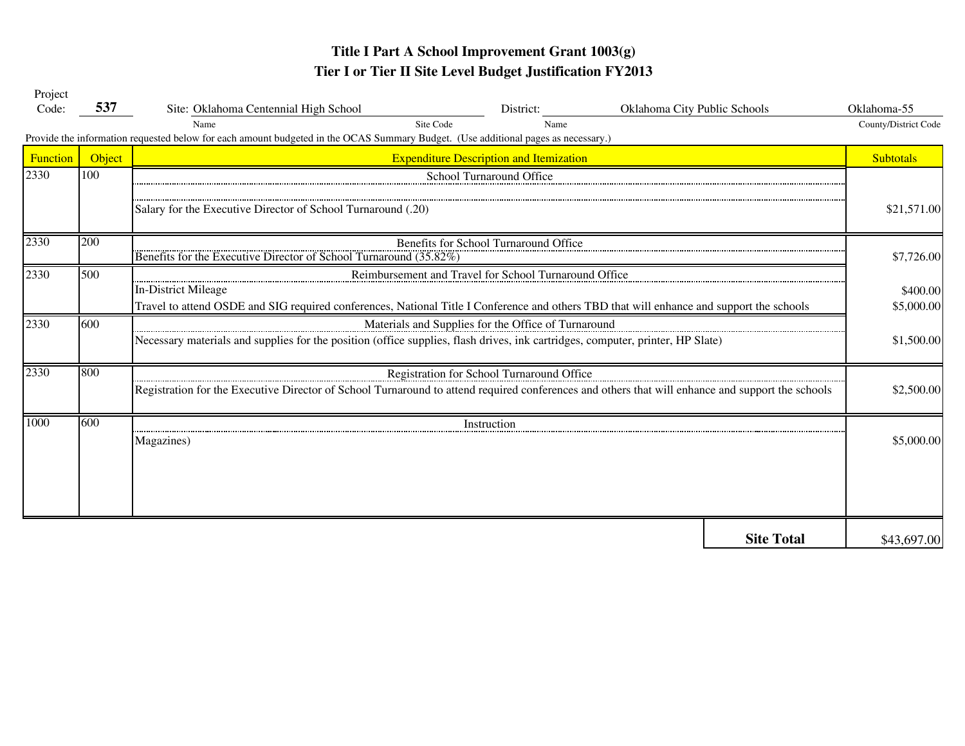| Project  |        |                                                                                                                                                                                                                                 |                                                |                              |                   |                      |  |  |  |  |
|----------|--------|---------------------------------------------------------------------------------------------------------------------------------------------------------------------------------------------------------------------------------|------------------------------------------------|------------------------------|-------------------|----------------------|--|--|--|--|
| Code:    | 537    | Site: Oklahoma Centennial High School                                                                                                                                                                                           | District:                                      | Oklahoma City Public Schools |                   | Oklahoma-55          |  |  |  |  |
|          |        | Site Code<br>Name                                                                                                                                                                                                               | Name                                           |                              |                   | County/District Code |  |  |  |  |
|          |        | Provide the information requested below for each amount budgeted in the OCAS Summary Budget. (Use additional pages as necessary.)                                                                                               |                                                |                              |                   |                      |  |  |  |  |
| Function | Object |                                                                                                                                                                                                                                 | <b>Expenditure Description and Itemization</b> |                              |                   | <b>Subtotals</b>     |  |  |  |  |
| 2330     | 100    |                                                                                                                                                                                                                                 | School Turnaround Office                       |                              |                   |                      |  |  |  |  |
|          |        | Salary for the Executive Director of School Turnaround (.20)                                                                                                                                                                    |                                                |                              |                   | \$21,571.00          |  |  |  |  |
| 2330     | 200    | Benefits for the Executive Director of School Turnaround (35.82%)                                                                                                                                                               | Benefits for School Turnaround Office          |                              |                   | \$7,726.00           |  |  |  |  |
| 2330     | 500    | Reimbursement and Travel for School Turnaround Office<br><b>In-District Mileage</b><br>Travel to attend OSDE and SIG required conferences, National Title I Conference and others TBD that will enhance and support the schools |                                                |                              |                   |                      |  |  |  |  |
|          |        |                                                                                                                                                                                                                                 |                                                |                              |                   | \$5,000.00           |  |  |  |  |
| 2330     | 600    | Materials and Supplies for the Office of Turnaround                                                                                                                                                                             |                                                |                              |                   |                      |  |  |  |  |
|          |        | Necessary materials and supplies for the position (office supplies, flash drives, ink cartridges, computer, printer, HP Slate)                                                                                                  |                                                |                              |                   | \$1,500.00           |  |  |  |  |
| 2330     | 800    |                                                                                                                                                                                                                                 | Registration for School Turnaround Office      |                              |                   |                      |  |  |  |  |
|          |        | Registration for the Executive Director of School Turnaround to attend required conferences and others that will enhance and support the schools                                                                                |                                                |                              |                   | \$2,500.00           |  |  |  |  |
| 1000     | 600    |                                                                                                                                                                                                                                 | Instruction                                    |                              |                   |                      |  |  |  |  |
|          |        | Magazines)                                                                                                                                                                                                                      |                                                |                              |                   | \$5,000.00           |  |  |  |  |
|          |        |                                                                                                                                                                                                                                 |                                                |                              |                   |                      |  |  |  |  |
|          |        |                                                                                                                                                                                                                                 |                                                |                              |                   |                      |  |  |  |  |
|          |        |                                                                                                                                                                                                                                 |                                                |                              | <b>Site Total</b> | \$43,697.00          |  |  |  |  |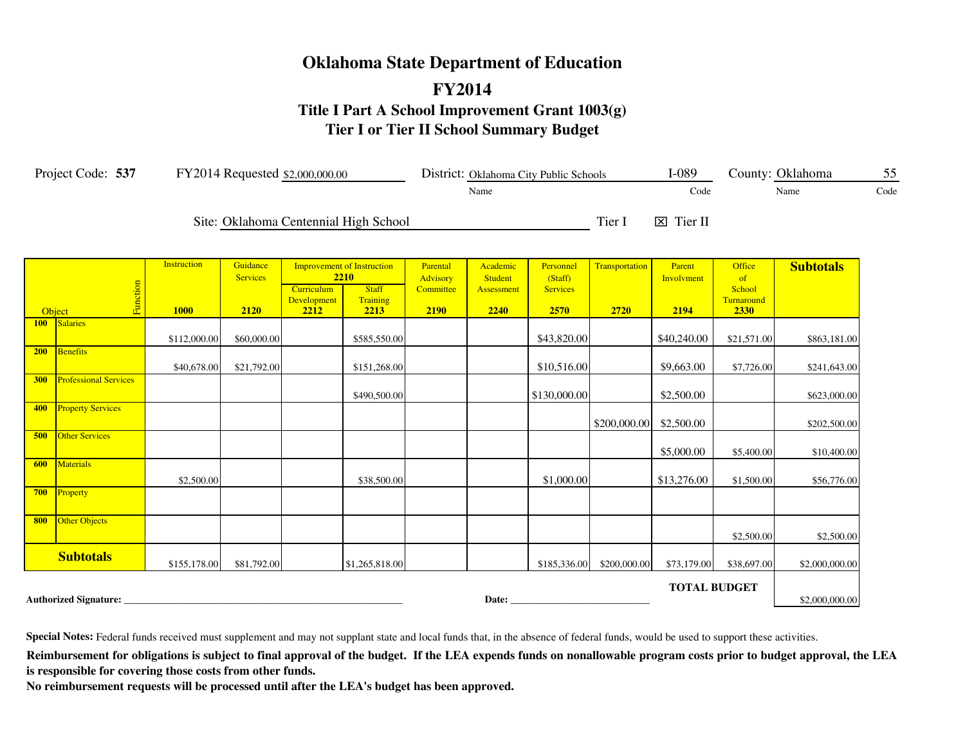# **Oklahoma State Department of Education FY2014 Title I Part A School Improvement Grant 1003(g) Tier I or Tier II School Summary Budget**

|                  | Project Code: 537            |                                   |                                     | FY2014 Requested \$2,000,000.00          |                                                                               |                                                  |                                           | District: Oklahoma City Public Schools          |                        | $I-089$                      |                                              | County: Oklahoma | 55   |
|------------------|------------------------------|-----------------------------------|-------------------------------------|------------------------------------------|-------------------------------------------------------------------------------|--------------------------------------------------|-------------------------------------------|-------------------------------------------------|------------------------|------------------------------|----------------------------------------------|------------------|------|
|                  |                              |                                   |                                     |                                          |                                                                               |                                                  | Name                                      |                                                 |                        | Code                         |                                              | Name             | Code |
|                  |                              |                                   |                                     |                                          | Site: Oklahoma Centennial High School                                         |                                                  |                                           |                                                 | Tier I                 | $\boxtimes$ Tier II          |                                              |                  |      |
| Object           | Function                     | <b>Instruction</b><br><b>1000</b> | Guidance<br><b>Services</b><br>2120 | Curriculum<br><b>Development</b><br>2212 | <b>Improvement of Instruction</b><br>2210<br><b>Staff</b><br>Training<br>2213 | Parental<br><b>Advisory</b><br>Committee<br>2190 | Academic<br>Student<br>Assessment<br>2240 | Personnel<br>(Staff)<br><b>Services</b><br>2570 | Transportation<br>2720 | Parent<br>Involvment<br>2194 | Office<br>of<br>School<br>Turnaround<br>2330 | <b>Subtotals</b> |      |
| 100 <sub>1</sub> | Salaries                     |                                   |                                     |                                          |                                                                               |                                                  |                                           |                                                 |                        |                              |                                              |                  |      |
|                  |                              | \$112,000.00                      | \$60,000.00                         |                                          | \$585,550.00                                                                  |                                                  |                                           | \$43,820.00                                     |                        | \$40,240.00                  | \$21,571.00                                  | \$863,181.00     |      |
| 200              | Benefits                     | \$40,678.00                       | \$21,792.00                         |                                          | \$151,268.00                                                                  |                                                  |                                           | \$10,516.00                                     |                        | \$9,663.00                   | \$7,726.00                                   | \$241,643.00     |      |
| 300              | <b>Professional Services</b> |                                   |                                     |                                          | \$490,500.00                                                                  |                                                  |                                           | \$130,000.00                                    |                        | \$2,500.00                   |                                              | \$623,000.00     |      |
| 400              | <b>Property Services</b>     |                                   |                                     |                                          |                                                                               |                                                  |                                           |                                                 | \$200,000.00           | \$2,500.00                   |                                              | \$202,500.00     |      |
| 500              | <b>Other Services</b>        |                                   |                                     |                                          |                                                                               |                                                  |                                           |                                                 |                        | \$5,000.00                   | \$5,400.00                                   | \$10,400.00      |      |
| 600              | <b>Materials</b>             | \$2,500.00                        |                                     |                                          | \$38,500.00                                                                   |                                                  |                                           | \$1,000.00                                      |                        | \$13,276.00                  | \$1,500.00                                   | \$56,776.00      |      |
|                  | 700 Property                 |                                   |                                     |                                          |                                                                               |                                                  |                                           |                                                 |                        |                              |                                              |                  |      |
| 800              | <b>Other Objects</b>         |                                   |                                     |                                          |                                                                               |                                                  |                                           |                                                 |                        |                              | \$2,500.00                                   | \$2,500.00       |      |
|                  | <b>Subtotals</b>             | \$155,178.00                      | \$81,792.00                         |                                          | \$1,265,818.00                                                                |                                                  |                                           | \$185,336.00                                    | \$200,000.00           | \$73,179.00                  | \$38,697.00                                  | \$2,000,000.00   |      |
|                  | <b>Authorized Signature:</b> |                                   |                                     |                                          |                                                                               |                                                  | Date:                                     |                                                 |                        | <b>TOTAL BUDGET</b>          |                                              | \$2,000,000.00   |      |

**Special Notes:** Federal funds received must supplement and may not supplant state and local funds that, in the absence of federal funds, would be used to support these activities.

Reimbursement for obligations is subject to final approval of the budget. If the LEA expends funds on nonallowable program costs prior to budget approval, the LEA **is responsible for covering those costs from other funds.**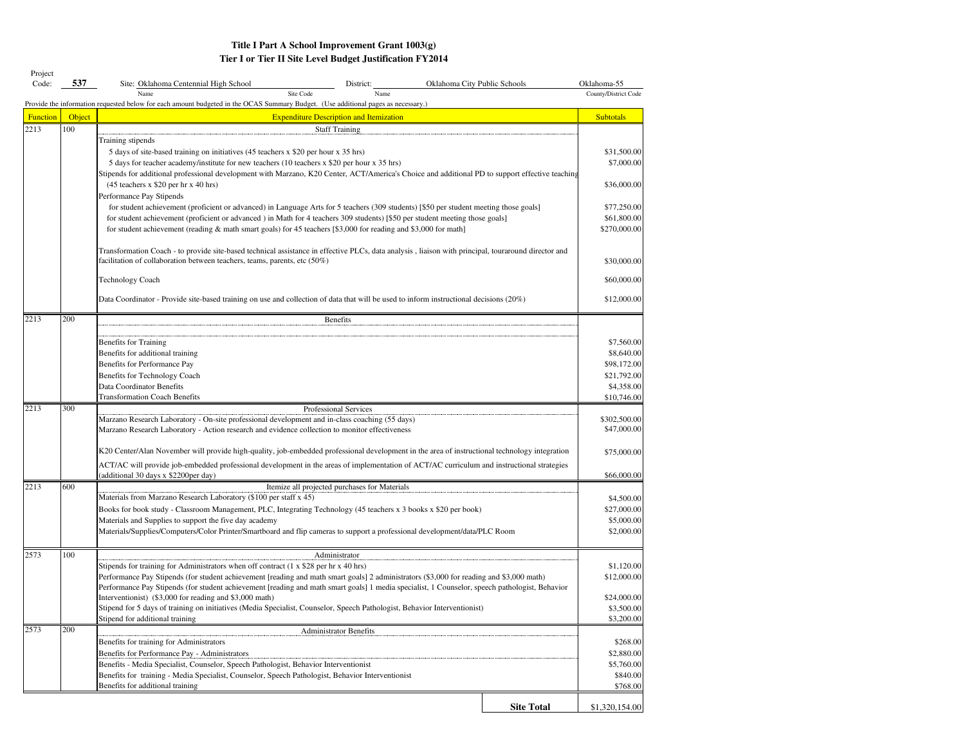| Project<br>Code: | 537    | Site: Oklahoma Centennial High School<br>District:                                                                                                                                   | Oklahoma City Public Schools | Oklahoma-55               |
|------------------|--------|--------------------------------------------------------------------------------------------------------------------------------------------------------------------------------------|------------------------------|---------------------------|
|                  |        | Site Code<br>Name<br>Name                                                                                                                                                            |                              | County/District Code      |
|                  |        | Provide the information requested below for each amount budgeted in the OCAS Summary Budget. (Use additional pages as necessary.)                                                    |                              |                           |
| <b>Function</b>  | Object | <b>Expenditure Description and Itemization</b>                                                                                                                                       |                              | <b>Subtotals</b>          |
| 2213             | 100    | <b>Staff Training</b>                                                                                                                                                                |                              |                           |
|                  |        | Training stipends                                                                                                                                                                    |                              |                           |
|                  |        | 5 days of site-based training on initiatives (45 teachers x \$20 per hour x 35 hrs)                                                                                                  |                              | \$31,500.00               |
|                  |        | 5 days for teacher academy/institute for new teachers (10 teachers x \$20 per hour x 35 hrs)                                                                                         |                              | \$7,000.00                |
|                  |        | Stipends for additional professional development with Marzano, K20 Center, ACT/America's Choice and additional PD to support effective teaching                                      |                              |                           |
|                  |        | (45 teachers x \$20 per hr x 40 hrs)<br>Performance Pay Stipends                                                                                                                     |                              | \$36,000.00               |
|                  |        | for student achievement (proficient or advanced) in Language Arts for 5 teachers (309 students) [\$50 per student meeting those goals]                                               |                              | \$77,250.00               |
|                  |        | for student achievement (proficient or advanced) in Math for 4 teachers 309 students) [\$50 per student meeting those goals]                                                         |                              | \$61,800.00               |
|                  |        | for student achievement (reading & math smart goals) for 45 teachers [\$3,000 for reading and \$3,000 for math]                                                                      |                              | \$270,000.00              |
|                  |        |                                                                                                                                                                                      |                              |                           |
|                  |        | Transformation Coach - to provide site-based technical assistance in effective PLCs, data analysis, liaison with principal, touraround director and                                  |                              |                           |
|                  |        | facilitation of collaboration between teachers, teams, parents, etc $(50\%)$                                                                                                         |                              | \$30,000.00               |
|                  |        | Technology Coach                                                                                                                                                                     |                              | \$60,000.00               |
|                  |        |                                                                                                                                                                                      |                              |                           |
|                  |        | Data Coordinator - Provide site-based training on use and collection of data that will be used to inform instructional decisions (20%)                                               |                              | \$12,000.00               |
| 2213             | 200    | Benefits                                                                                                                                                                             |                              |                           |
|                  |        |                                                                                                                                                                                      |                              |                           |
|                  |        | Benefits for Training                                                                                                                                                                |                              | \$7,560.00                |
|                  |        | Benefits for additional training                                                                                                                                                     |                              | \$8,640.00                |
|                  |        | Benefits for Performance Pay                                                                                                                                                         |                              | \$98,172.00               |
|                  |        | Benefits for Technology Coach                                                                                                                                                        |                              | \$21,792.00               |
|                  |        | Data Coordinator Benefits<br><b>Transformation Coach Benefits</b>                                                                                                                    |                              | \$4,358.00<br>\$10,746.00 |
| 2213             | 300    | Professional Services                                                                                                                                                                |                              |                           |
|                  |        | Marzano Research Laboratory - On-site professional development and in-class coaching (55 days)                                                                                       |                              | \$302,500.00              |
|                  |        | Marzano Research Laboratory - Action research and evidence collection to monitor effectiveness                                                                                       |                              | \$47,000.00               |
|                  |        |                                                                                                                                                                                      |                              |                           |
|                  |        | K20 Center/Alan November will provide high-quality, job-embedded professional development in the area of instructional technology integration                                        |                              | \$75,000.00               |
|                  |        | ACT/AC will provide job-embedded professional development in the areas of implementation of ACT/AC curriculum and instructional strategies                                           |                              |                           |
|                  |        | (additional 30 days x \$2200per day)                                                                                                                                                 |                              | \$66,000.00               |
| 2213             | 600    | Itemize all projected purchases for Materials                                                                                                                                        |                              |                           |
|                  |        | Materials from Marzano Research Laboratory (\$100 per staff x 45)                                                                                                                    |                              | \$4,500.00                |
|                  |        | Books for book study - Classroom Management, PLC, Integrating Technology (45 teachers x 3 books x \$20 per book)                                                                     |                              | \$27,000.00               |
|                  |        | Materials and Supplies to support the five day academy<br>Materials/Supplies/Computers/Color Printer/Smartboard and flip cameras to support a professional development/data/PLC Room |                              | \$5,000.00<br>\$2,000.00  |
|                  |        |                                                                                                                                                                                      |                              |                           |
| 2573             | 100    | Administrator                                                                                                                                                                        |                              |                           |
|                  |        | Stipends for training for Administrators when off contract (1 x \$28 per hr x 40 hrs)                                                                                                |                              | \$1,120.00                |
|                  |        | Performance Pay Stipends (for student achievement [reading and math smart goals] 2 administrators (\$3,000 for reading and \$3,000 math)                                             |                              | \$12,000.00               |
|                  |        | Performance Pay Stipends (for student achievement [reading and math smart goals] 1 media specialist, 1 Counselor, speech pathologist, Behavior                                       |                              |                           |
|                  |        | Interventionist) (\$3,000 for reading and \$3,000 math)                                                                                                                              |                              | \$24,000.00               |
|                  |        | Stipend for 5 days of training on initiatives (Media Specialist, Counselor, Speech Pathologist, Behavior Interventionist)                                                            |                              | \$3,500.00<br>\$3,200.00  |
| 2573             | 200    | Stipend for additional training<br>Administrator Benefits                                                                                                                            |                              |                           |
|                  |        | Benefits for training for Administrators                                                                                                                                             |                              | \$268.00                  |
|                  |        | Benefits for Performance Pay - Administrators                                                                                                                                        |                              | \$2,880.00                |
|                  |        | Benefits - Media Specialist, Counselor, Speech Pathologist, Behavior Interventionist                                                                                                 |                              | \$5,760.00                |
|                  |        | Benefits for training - Media Specialist, Counselor, Speech Pathologist, Behavior Interventionist                                                                                    |                              | \$840.00                  |
|                  |        | Benefits for additional training                                                                                                                                                     |                              | \$768.00                  |
|                  |        |                                                                                                                                                                                      | <b>Site Total</b>            | \$1,320,154.00            |
|                  |        |                                                                                                                                                                                      |                              |                           |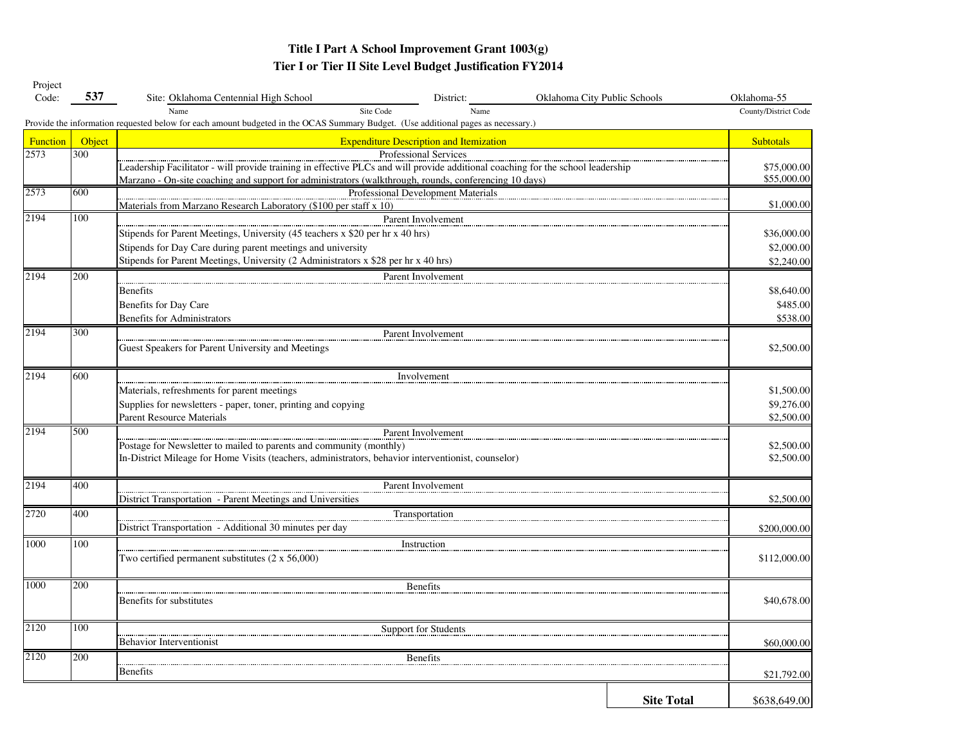| Project<br>Code: | 537    | Site: Oklahoma Centennial High School                                                                                             | District:             | Oklahoma City Public Schools |                   | Oklahoma-55          |  |  |
|------------------|--------|-----------------------------------------------------------------------------------------------------------------------------------|-----------------------|------------------------------|-------------------|----------------------|--|--|
|                  |        | Name<br>Site Code                                                                                                                 | Name                  |                              |                   | County/District Code |  |  |
|                  |        | Provide the information requested below for each amount budgeted in the OCAS Summary Budget. (Use additional pages as necessary.) |                       |                              |                   |                      |  |  |
| <b>Function</b>  | Object | <b>Expenditure Description and Itemization</b>                                                                                    |                       |                              |                   |                      |  |  |
| 2573             | 300    |                                                                                                                                   | Professional Services |                              |                   |                      |  |  |
|                  |        | Leadership Facilitator - will provide training in effective PLCs and will provide additional coaching for the school leadership   |                       |                              |                   |                      |  |  |
|                  |        | Marzano - On-site coaching and support for administrators (walkthrough, rounds, conferencing 10 days)                             |                       |                              |                   |                      |  |  |
| 2573             | 600    | Professional Development Materials                                                                                                |                       |                              |                   |                      |  |  |
|                  |        | Materials from Marzano Research Laboratory (\$100 per staff x 10)                                                                 |                       |                              |                   | \$1,000.00           |  |  |
| 2194             | 100    | Parent Involvement                                                                                                                |                       |                              |                   |                      |  |  |
|                  |        | Stipends for Parent Meetings, University (45 teachers x \$20 per hr x 40 hrs)                                                     |                       |                              |                   | \$36,000.00          |  |  |
|                  |        | Stipends for Day Care during parent meetings and university                                                                       |                       |                              |                   | \$2,000.00           |  |  |
|                  |        | Stipends for Parent Meetings, University (2 Administrators x \$28 per hr x 40 hrs)                                                |                       |                              |                   | \$2,240.00           |  |  |
| 2194             | 200    |                                                                                                                                   | Parent Involvement    |                              |                   |                      |  |  |
|                  |        | <b>Benefits</b>                                                                                                                   |                       |                              |                   | \$8,640.00           |  |  |
|                  |        | Benefits for Day Care                                                                                                             |                       |                              |                   | \$485.00             |  |  |
|                  |        | <b>Benefits for Administrators</b>                                                                                                |                       |                              |                   | \$538.00             |  |  |
| 2194             | 300    |                                                                                                                                   | Parent Involvement    |                              |                   |                      |  |  |
|                  |        | Guest Speakers for Parent University and Meetings                                                                                 |                       |                              |                   | \$2,500.00           |  |  |
| 2194             | 600    | Involvement                                                                                                                       |                       |                              |                   |                      |  |  |
|                  |        | Materials, refreshments for parent meetings                                                                                       |                       |                              |                   | \$1,500.00           |  |  |
|                  |        | Supplies for newsletters - paper, toner, printing and copying                                                                     |                       |                              |                   | \$9,276.00           |  |  |
|                  |        | <b>Parent Resource Materials</b>                                                                                                  |                       |                              |                   | \$2,500.00           |  |  |
| 2194             | 500    |                                                                                                                                   | Parent Involvement    |                              |                   |                      |  |  |
|                  |        | Postage for Newsletter to mailed to parents and community (monthly)                                                               |                       |                              |                   |                      |  |  |
|                  |        | In-District Mileage for Home Visits (teachers, administrators, behavior interventionist, counselor)                               |                       |                              |                   |                      |  |  |
| 2194             | 400    | Parent Involvement                                                                                                                |                       |                              |                   |                      |  |  |
|                  |        | District Transportation - Parent Meetings and Universities                                                                        |                       |                              |                   |                      |  |  |
| 2720             | 400    |                                                                                                                                   | Transportation        |                              |                   |                      |  |  |
|                  |        | District Transportation - Additional 30 minutes per day                                                                           |                       |                              |                   | \$200,000.00         |  |  |
| 1000             | 100    |                                                                                                                                   | Instruction           |                              |                   |                      |  |  |
|                  |        | Two certified permanent substitutes $(2 \times 56,000)$                                                                           |                       |                              |                   |                      |  |  |
| 1000             | 200    | <b>Benefits</b>                                                                                                                   |                       |                              |                   |                      |  |  |
|                  |        | Benefits for substitutes                                                                                                          |                       |                              |                   |                      |  |  |
| 2120             | 100    |                                                                                                                                   | Support for Students  |                              |                   |                      |  |  |
|                  |        | <b>Behavior Interventionist</b>                                                                                                   |                       |                              |                   |                      |  |  |
| 2120             | 200    |                                                                                                                                   | <b>Benefits</b>       |                              |                   |                      |  |  |
|                  |        | <b>Benefits</b>                                                                                                                   |                       |                              |                   | \$21,792.00          |  |  |
|                  |        |                                                                                                                                   |                       |                              |                   |                      |  |  |
|                  |        |                                                                                                                                   |                       |                              | <b>Site Total</b> | \$638,649.00         |  |  |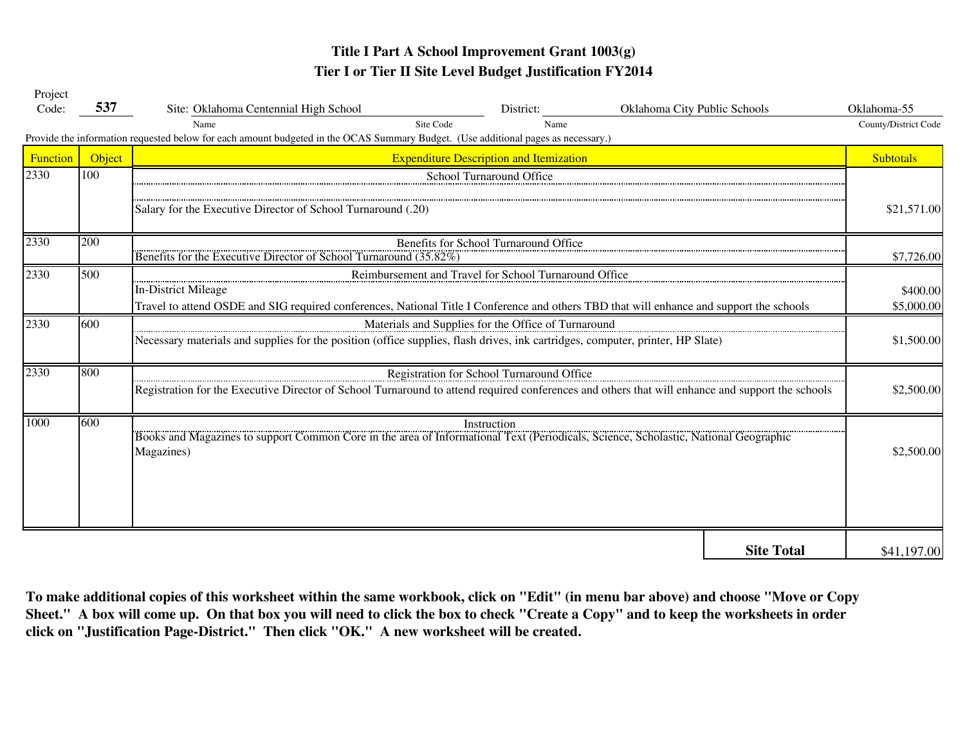| Project  |        |                                                                                                                                                  |             |                              |                   |                      |  |  |
|----------|--------|--------------------------------------------------------------------------------------------------------------------------------------------------|-------------|------------------------------|-------------------|----------------------|--|--|
| Code:    | 537    | Site: Oklahoma Centennial High School                                                                                                            | District:   | Oklahoma City Public Schools |                   | Oklahoma-55          |  |  |
|          |        | Site Code<br>Name                                                                                                                                | Name        |                              |                   | County/District Code |  |  |
|          |        | Provide the information requested below for each amount budgeted in the OCAS Summary Budget. (Use additional pages as necessary.)                |             |                              |                   |                      |  |  |
| Function | Object | <b>Expenditure Description and Itemization</b>                                                                                                   |             |                              |                   |                      |  |  |
| 2330     | 100    | School Turnaround Office                                                                                                                         |             |                              |                   |                      |  |  |
|          |        |                                                                                                                                                  |             |                              |                   |                      |  |  |
|          |        | Salary for the Executive Director of School Turnaround (.20)                                                                                     |             |                              |                   |                      |  |  |
| 2330     | 200    | Benefits for School Turnaround Office                                                                                                            |             |                              |                   |                      |  |  |
|          |        | Benefits for the Executive Director of School Turnaround (35.82%)                                                                                |             |                              |                   |                      |  |  |
| 2330     | 500    | Reimbursement and Travel for School Turnaround Office                                                                                            |             |                              |                   |                      |  |  |
|          |        | In-District Mileage                                                                                                                              |             |                              |                   | \$400.00             |  |  |
|          |        | Travel to attend OSDE and SIG required conferences, National Title I Conference and others TBD that will enhance and support the schools         |             |                              |                   |                      |  |  |
| 2330     | 600    | Materials and Supplies for the Office of Turnaround                                                                                              |             |                              |                   |                      |  |  |
|          |        | Necessary materials and supplies for the position (office supplies, flash drives, ink cartridges, computer, printer, HP Slate)                   |             |                              |                   | \$1,500.00           |  |  |
| 2330     | 800    | Registration for School Turnaround Office                                                                                                        |             |                              |                   |                      |  |  |
|          |        | Registration for the Executive Director of School Turnaround to attend required conferences and others that will enhance and support the schools | \$2,500.00  |                              |                   |                      |  |  |
| 1000     | 600    | Books and Magazines to support Common Core in the area of Informational Text (Periodicals, Science, Scholastic, National Geographic              | Instruction |                              |                   |                      |  |  |
|          |        | Magazines)                                                                                                                                       |             |                              |                   | \$2,500.00           |  |  |
|          |        |                                                                                                                                                  |             |                              |                   |                      |  |  |
|          |        |                                                                                                                                                  |             |                              |                   |                      |  |  |
|          |        |                                                                                                                                                  |             |                              |                   |                      |  |  |
|          |        |                                                                                                                                                  |             |                              |                   |                      |  |  |
|          |        |                                                                                                                                                  |             |                              | <b>Site Total</b> | \$41,197.00          |  |  |

**click on "Justification Page-District." Then click "OK." A new worksheet will be created. To make additional copies of this worksheet within the same workbook, click on "Edit" (in menu bar above) and choose "Move or Copy Sheet." A box will come up. On that box you will need to click the box to check "Create a Copy" and to keep the worksheets in order**